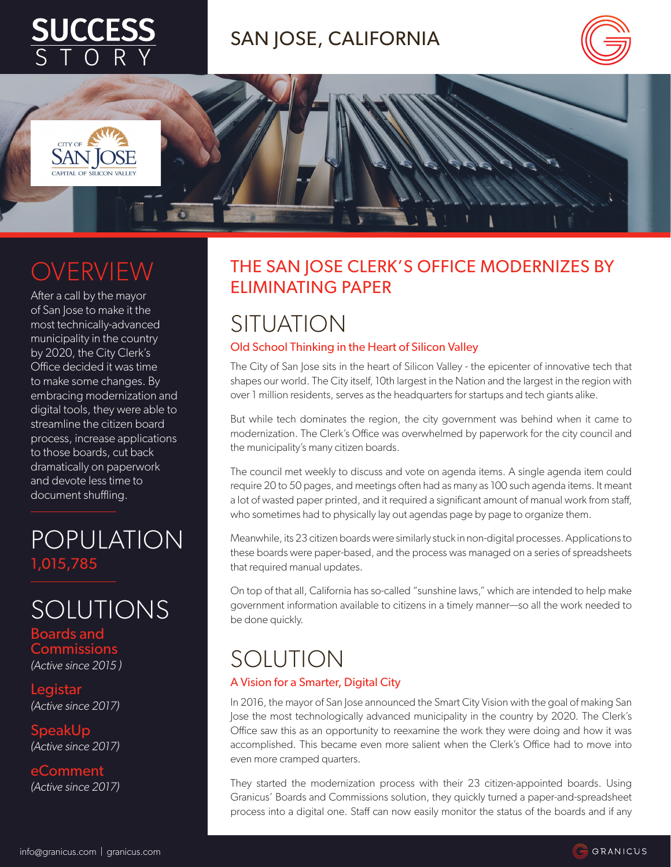

## SAN JOSE, CALIFORNIA





CITY OF **SAN** IC

After a call by the mayor of San Jose to make it the most technically-advanced municipality in the country by 2020, the City Clerk's Office decided it was time to make some changes. By embracing modernization and digital tools, they were able to streamline the citizen board process, increase applications to those boards, cut back dramatically on paperwork and devote less time to document shuffling.

## POPULATION 1,015,785

**SOLUTIONS** 

Boards and Commissions *(Active since 2015 )*

**Legistar** *(Active since 2017)*

SpeakUp *(Active since 2017)*

eComment *(Active since 2017)*

#### THE SAN JOSE CLERK'S OFFICE MODERNIZES BY ELIMINATING PAPER

# **SITUATION**

#### Old School Thinking in the Heart of Silicon Valley

The City of San Jose sits in the heart of Silicon Valley - the epicenter of innovative tech that shapes our world. The City itself, 10th largest in the Nation and the largest in the region with over 1 million residents, serves as the headquarters for startups and tech giants alike.

But while tech dominates the region, the city government was behind when it came to modernization. The Clerk's Office was overwhelmed by paperwork for the city council and the municipality's many citizen boards.

The council met weekly to discuss and vote on agenda items. A single agenda item could require 20 to 50 pages, and meetings often had as many as 100 such agenda items. It meant a lot of wasted paper printed, and it required a significant amount of manual work from staff, who sometimes had to physically lay out agendas page by page to organize them.

Meanwhile, its 23 citizen boards were similarly stuck in non-digital processes. Applications to these boards were paper-based, and the process was managed on a series of spreadsheets that required manual updates.

On top of that all, California has so-called "sunshine laws," which are intended to help make government information available to citizens in a timely manner—so all the work needed to be done quickly.

# SOLUTION

#### A Vision for a Smarter, Digital City

In 2016, the mayor of San Jose announced the Smart City Vision with the goal of making San Jose the most technologically advanced municipality in the country by 2020. The Clerk's Office saw this as an opportunity to reexamine the work they were doing and how it was accomplished. This became even more salient when the Clerk's Office had to move into even more cramped quarters.

They started the modernization process with their 23 citizen-appointed boards. Using Granicus' Boards and Commissions solution, they quickly turned a paper-and-spreadsheet process into a digital one. Staff can now easily monitor the status of the boards and if any